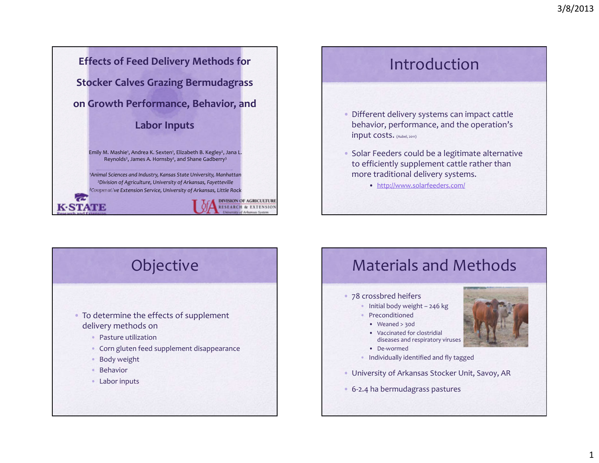**Effects of Feed Delivery Methods for Stocker Calves Grazing Bermudagrass on Growth Performance, Behavior, and Labor Inputs**

> Emily M. Mashie<sup>1</sup>, Andrea K. Sexten<sup>1</sup>, Elizabeth B. Kegley<sup>2</sup>, Jana L. Reynolds<sup>2</sup>, James A. Hornsby<sup>2</sup>, and Shane Gadberry<sup>3</sup>

*1Animal Sciences and Industry, Kansas State University, Manhattan 2Division of Agriculture, University of Arkansas, Fayetteville 3Cooperative Extension Service, University of Arkansas, Little Rock*



Introduction

- Different delivery systems can impact cattle behavior, performance, and the operation's input costs. (Aubel, 2011)
- Solar Feeders could be <sup>a</sup> legitimate alternative to efficiently supplement cattle rather than more traditional delivery systems.
	- http://www.solarfeeders.com/



- To determine the effects of supplement delivery methods on
	- Pasture utilization
	- Corn gluten feed supplement disappearance
	- Body weight
	- Behavior

**K-STATE** 

• Labor inputs

# Materials and Methods

#### • 78 crossbred heifers

- Initial body weight 246 kg
- Preconditioned
- Weaned <sup>&</sup>gt; 30d
- Vaccinated for clostridial diseases and respiratory viruses
- De‐wormed
- Individually identified and fly tagged
- University of Arkansas Stocker Unit, Savoy, AR
- 6‐2.4 ha bermudagrass pastures

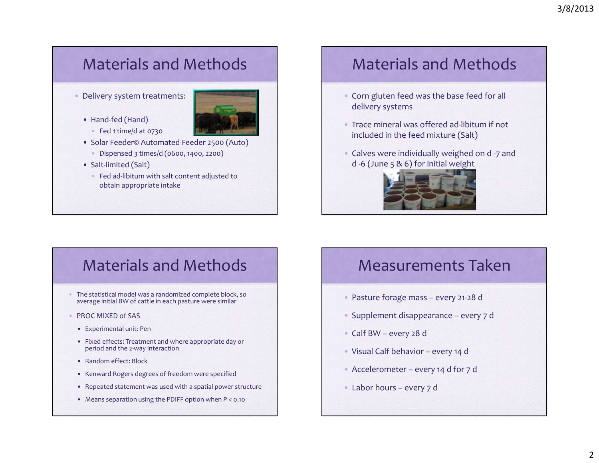## Materials and Methods

•Delivery system treatments:



- Hand‐fed (Hand) • Fed 1 time/d at 0730
- Solar Feeder© Automated Feeder 2500 (Auto)
- Dispensed 3 times/d (0600, 1400, 2200)
- Salt‐limited (Salt)
	- Fed ad‐libitum with salt content adjusted to obtain appropriate intake

## Materials and Methods

- Corn gluten feed was the base feed for all delivery systems
- Trace mineral was offered ad‐libitum if not included in the feed mixture (Salt)
- Calves were individually weighed on d ‐7 and d ‐6 (June <sup>5</sup> & 6) for initial weight



# Materials and Methods

- The statistical model was <sup>a</sup> randomized complete block, so average initial BW of cattle in each pasture were similar
- PROC MIXED of SAS
	- Experimental unit: Pen
	- Fixed effects: Treatment and where appropriate day or period and the <sup>2</sup>‐way interaction
	- Random effect: Block
	- Kenward Rogers degrees of freedom were specified
	- Repeated statement was used with <sup>a</sup> spatial power structure
	- Means separation using the PDIFF option when *<sup>P</sup>* <sup>&</sup>lt; 0.10

### Measurements Taken

- Pasture forage mass every <sup>21</sup>‐28 d
- Supplement disappearance every 7 d
- Calf BW every 28 d
- Visual Calf behavior every 14 d
- Accelerometer every 14 d for 7 d
- Labor hours every 7 d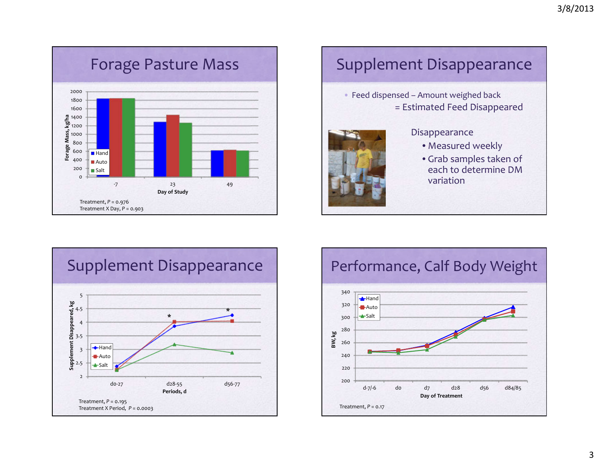

## Supplement Disappearance

• Feed dispensed – Amount weighed back = Estimated Feed Disappeared



### Disappearance

- Measured weekly
- Grab samples taken of each to determine DMvariation



## Performance, Calf Body Weight

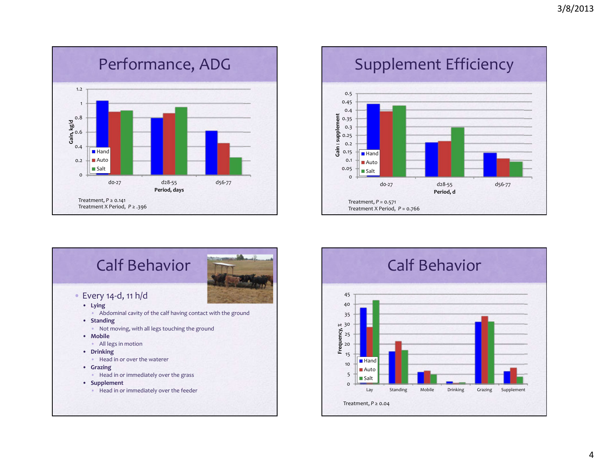

# Supplement Efficiency





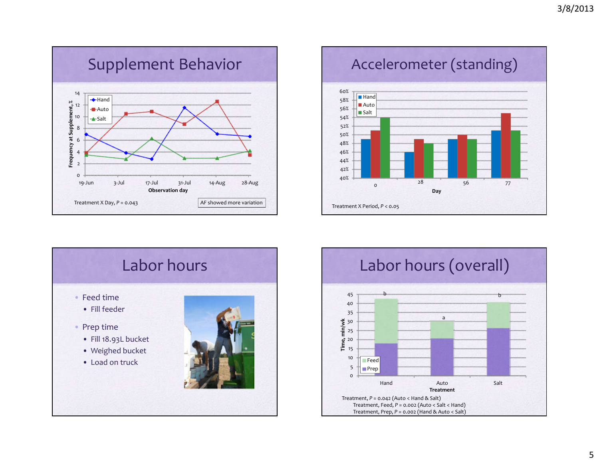

Accelerometer (standing)